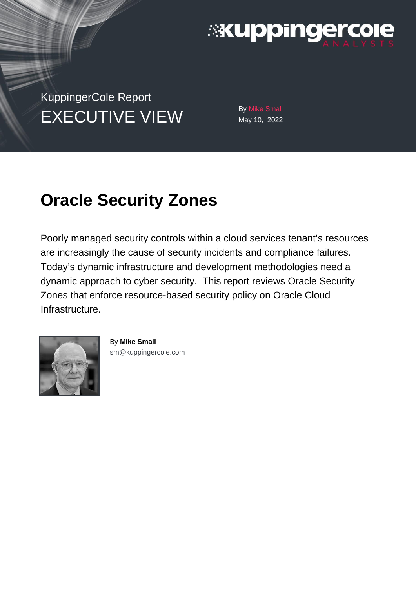

KuppingerCole Report  $EXECUTIVE VIEW$  By Mike Small

May 10, 2022

# **Oracle Security Zones**

Poorly managed security controls within a cloud services tenant's resources are increasingly the cause of security incidents and compliance failures. Today's dynamic infrastructure and development methodologies need a dynamic approach to cyber security. This report reviews Oracle Security Zones that enforce resource-based security policy on Oracle Cloud Infrastructure.



By **Mike Small**  [sm@kuppingercole.com](mailto:sm@kuppingercole.com)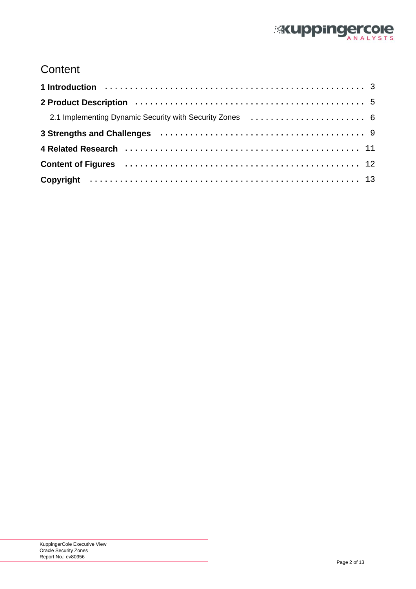

# **Content**

| 3 Strengths and Challenges (and the contract of the contract of the strengths and Challenges (and the contract of the strengths and Strengths and Strengths and Strengths and Strengths and Strengths and Strengths and Streng |
|--------------------------------------------------------------------------------------------------------------------------------------------------------------------------------------------------------------------------------|
|                                                                                                                                                                                                                                |
|                                                                                                                                                                                                                                |
|                                                                                                                                                                                                                                |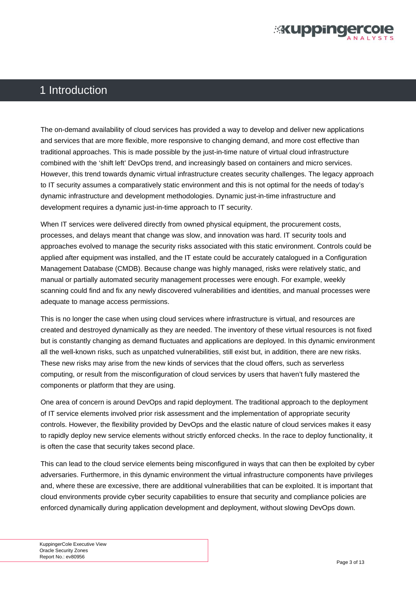

#### <span id="page-2-0"></span>1 Introduction

The on-demand availability of cloud services has provided a way to develop and deliver new applications and services that are more flexible, more responsive to changing demand, and more cost effective than traditional approaches. This is made possible by the just-in-time nature of virtual cloud infrastructure combined with the 'shift left' DevOps trend, and increasingly based on containers and micro services. However, this trend towards dynamic virtual infrastructure creates security challenges. The legacy approach to IT security assumes a comparatively static environment and this is not optimal for the needs of today's dynamic infrastructure and development methodologies. Dynamic just-in-time infrastructure and development requires a dynamic just-in-time approach to IT security.

When IT services were delivered directly from owned physical equipment, the procurement costs, processes, and delays meant that change was slow, and innovation was hard. IT security tools and approaches evolved to manage the security risks associated with this static environment. Controls could be applied after equipment was installed, and the IT estate could be accurately catalogued in a Configuration Management Database (CMDB). Because change was highly managed, risks were relatively static, and manual or partially automated security management processes were enough. For example, weekly scanning could find and fix any newly discovered vulnerabilities and identities, and manual processes were adequate to manage access permissions.

This is no longer the case when using cloud services where infrastructure is virtual, and resources are created and destroyed dynamically as they are needed. The inventory of these virtual resources is not fixed but is constantly changing as demand fluctuates and applications are deployed. In this dynamic environment all the well-known risks, such as unpatched vulnerabilities, still exist but, in addition, there are new risks. These new risks may arise from the new kinds of services that the cloud offers, such as serverless computing, or result from the misconfiguration of cloud services by users that haven't fully mastered the components or platform that they are using.

One area of concern is around DevOps and rapid deployment. The traditional approach to the deployment of IT service elements involved prior risk assessment and the implementation of appropriate security controls. However, the flexibility provided by DevOps and the elastic nature of cloud services makes it easy to rapidly deploy new service elements without strictly enforced checks. In the race to deploy functionality, it is often the case that security takes second place.

This can lead to the cloud service elements being misconfigured in ways that can then be exploited by cyber adversaries. Furthermore, in this dynamic environment the virtual infrastructure components have privileges and, where these are excessive, there are additional vulnerabilities that can be exploited. It is important that cloud environments provide cyber security capabilities to ensure that security and compliance policies are enforced dynamically during application development and deployment, without slowing DevOps down.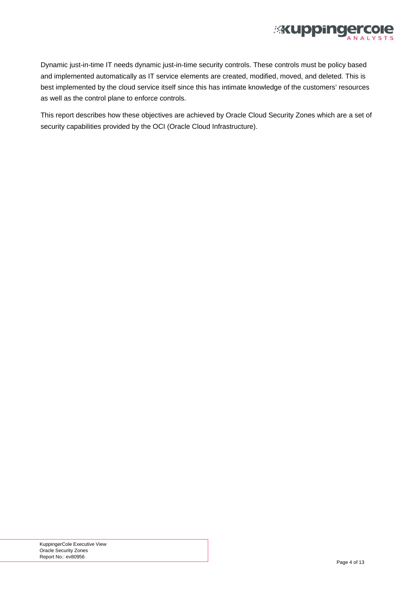

Dynamic just-in-time IT needs dynamic just-in-time security controls. These controls must be policy based and implemented automatically as IT service elements are created, modified, moved, and deleted. This is best implemented by the cloud service itself since this has intimate knowledge of the customers' resources as well as the control plane to enforce controls.

This report describes how these objectives are achieved by Oracle Cloud Security Zones which are a set of security capabilities provided by the OCI (Oracle Cloud Infrastructure).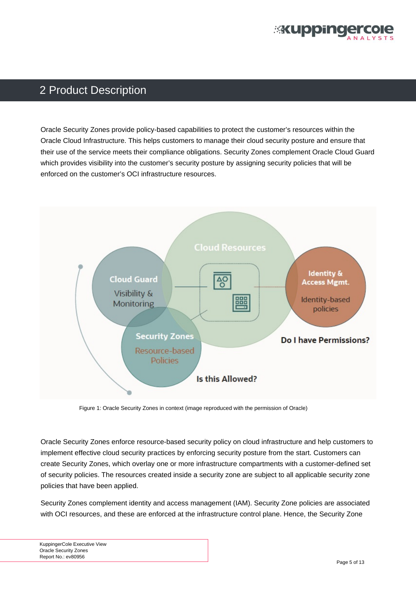

## <span id="page-4-0"></span>2 Product Description

Oracle Security Zones provide policy-based capabilities to protect the customer's resources within the Oracle Cloud Infrastructure. This helps customers to manage their cloud security posture and ensure that their use of the service meets their compliance obligations. Security Zones complement Oracle Cloud Guard which provides visibility into the customer's security posture by assigning security policies that will be enforced on the customer's OCI infrastructure resources.



Figure 1: Oracle Security Zones in context (image reproduced with the permission of Oracle)

Oracle Security Zones enforce resource-based security policy on cloud infrastructure and help customers to implement effective cloud security practices by enforcing security posture from the start. Customers can create Security Zones, which overlay one or more infrastructure compartments with a customer-defined set of security policies. The resources created inside a security zone are subject to all applicable security zone policies that have been applied.

Security Zones complement identity and access management (IAM). Security Zone policies are associated with OCI resources, and these are enforced at the infrastructure control plane. Hence, the Security Zone

KuppingerCole Executive View Oracle Security Zones Report No.: ev80956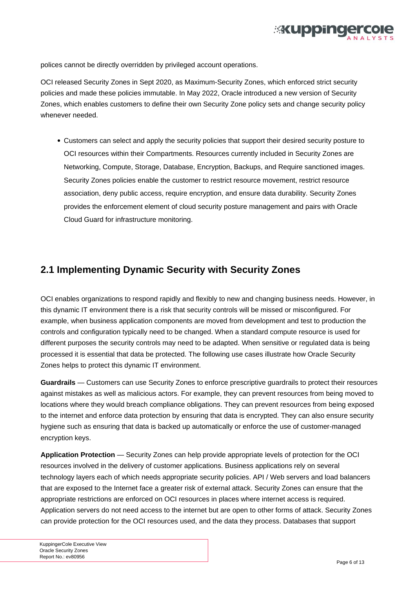

<span id="page-5-0"></span>polices cannot be directly overridden by privileged account operations.

OCI released Security Zones in Sept 2020, as Maximum-Security Zones, which enforced strict security policies and made these policies immutable. In May 2022, Oracle introduced a new version of Security Zones, which enables customers to define their own Security Zone policy sets and change security policy whenever needed.

Customers can select and apply the security policies that support their desired security posture to OCI resources within their Compartments. Resources currently included in Security Zones are Networking, Compute, Storage, Database, Encryption, Backups, and Require sanctioned images. Security Zones policies enable the customer to restrict resource movement, restrict resource association, deny public access, require encryption, and ensure data durability. Security Zones provides the enforcement element of cloud security posture management and pairs with Oracle Cloud Guard for infrastructure monitoring.

#### **2.1 Implementing Dynamic Security with Security Zones**

OCI enables organizations to respond rapidly and flexibly to new and changing business needs. However, in this dynamic IT environment there is a risk that security controls will be missed or misconfigured. For example, when business application components are moved from development and test to production the controls and configuration typically need to be changed. When a standard compute resource is used for different purposes the security controls may need to be adapted. When sensitive or regulated data is being processed it is essential that data be protected. The following use cases illustrate how Oracle Security Zones helps to protect this dynamic IT environment.

**Guardrails** — Customers can use Security Zones to enforce prescriptive guardrails to protect their resources against mistakes as well as malicious actors. For example, they can prevent resources from being moved to locations where they would breach compliance obligations. They can prevent resources from being exposed to the internet and enforce data protection by ensuring that data is encrypted. They can also ensure security hygiene such as ensuring that data is backed up automatically or enforce the use of customer-managed encryption keys.

**Application Protection** — Security Zones can help provide appropriate levels of protection for the OCI resources involved in the delivery of customer applications. Business applications rely on several technology layers each of which needs appropriate security policies. API / Web servers and load balancers that are exposed to the Internet face a greater risk of external attack. Security Zones can ensure that the appropriate restrictions are enforced on OCI resources in places where internet access is required. Application servers do not need access to the internet but are open to other forms of attack. Security Zones can provide protection for the OCI resources used, and the data they process. Databases that support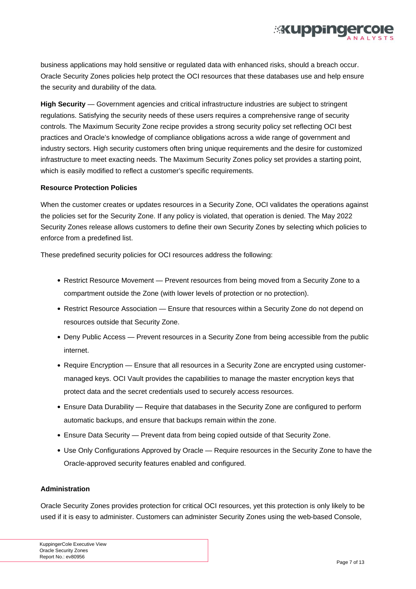

business applications may hold sensitive or regulated data with enhanced risks, should a breach occur. Oracle Security Zones policies help protect the OCI resources that these databases use and help ensure the security and durability of the data.

**High Security** — Government agencies and critical infrastructure industries are subject to stringent regulations. Satisfying the security needs of these users requires a comprehensive range of security controls. The Maximum Security Zone recipe provides a strong security policy set reflecting OCI best practices and Oracle's knowledge of compliance obligations across a wide range of government and industry sectors. High security customers often bring unique requirements and the desire for customized infrastructure to meet exacting needs. The Maximum Security Zones policy set provides a starting point, which is easily modified to reflect a customer's specific requirements.

#### **Resource Protection Policies**

When the customer creates or updates resources in a Security Zone, OCI validates the operations against the policies set for the Security Zone. If any policy is violated, that operation is denied. The May 2022 Security Zones release allows customers to define their own Security Zones by selecting which policies to enforce from a predefined list.

These predefined security policies for OCI resources address the following:

- Restrict Resource Movement Prevent resources from being moved from a Security Zone to a compartment outside the Zone (with lower levels of protection or no protection).
- Restrict Resource Association Ensure that resources within a Security Zone do not depend on resources outside that Security Zone.
- Deny Public Access Prevent resources in a Security Zone from being accessible from the public internet.
- Require Encryption Ensure that all resources in a Security Zone are encrypted using customermanaged keys. OCI Vault provides the capabilities to manage the master encryption keys that protect data and the secret credentials used to securely access resources.
- Ensure Data Durability Require that databases in the Security Zone are configured to perform automatic backups, and ensure that backups remain within the zone.
- Ensure Data Security Prevent data from being copied outside of that Security Zone.
- Use Only Configurations Approved by Oracle Require resources in the Security Zone to have the Oracle-approved security features enabled and configured.

#### **Administration**

Oracle Security Zones provides protection for critical OCI resources, yet this protection is only likely to be used if it is easy to administer. Customers can administer Security Zones using the web-based Console,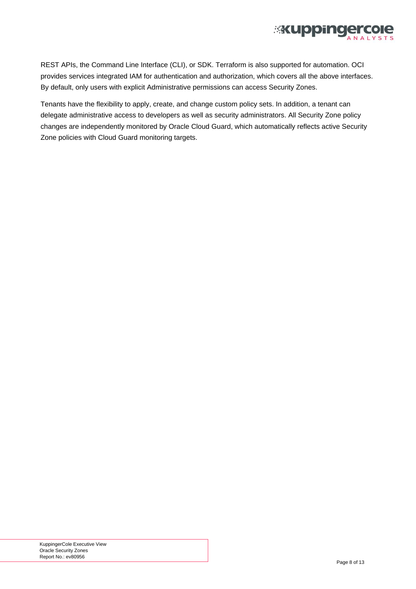

REST APIs, the Command Line Interface (CLI), or SDK. Terraform is also supported for automation. OCI provides services integrated IAM for authentication and authorization, which covers all the above interfaces. By default, only users with explicit Administrative permissions can access Security Zones.

Tenants have the flexibility to apply, create, and change custom policy sets. In addition, a tenant can delegate administrative access to developers as well as security administrators. All Security Zone policy changes are independently monitored by Oracle Cloud Guard, which automatically reflects active Security Zone policies with Cloud Guard monitoring targets.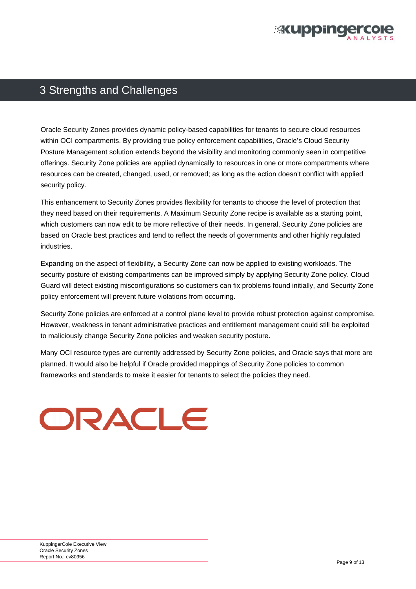

#### <span id="page-8-0"></span>3 Strengths and Challenges

Oracle Security Zones provides dynamic policy-based capabilities for tenants to secure cloud resources within OCI compartments. By providing true policy enforcement capabilities, Oracle's Cloud Security Posture Management solution extends beyond the visibility and monitoring commonly seen in competitive offerings. Security Zone policies are applied dynamically to resources in one or more compartments where resources can be created, changed, used, or removed; as long as the action doesn't conflict with applied security policy.

This enhancement to Security Zones provides flexibility for tenants to choose the level of protection that they need based on their requirements. A Maximum Security Zone recipe is available as a starting point, which customers can now edit to be more reflective of their needs. In general, Security Zone policies are based on Oracle best practices and tend to reflect the needs of governments and other highly regulated industries.

Expanding on the aspect of flexibility, a Security Zone can now be applied to existing workloads. The security posture of existing compartments can be improved simply by applying Security Zone policy. Cloud Guard will detect existing misconfigurations so customers can fix problems found initially, and Security Zone policy enforcement will prevent future violations from occurring.

Security Zone policies are enforced at a control plane level to provide robust protection against compromise. However, weakness in tenant administrative practices and entitlement management could still be exploited to maliciously change Security Zone policies and weaken security posture.

Many OCI resource types are currently addressed by Security Zone policies, and Oracle says that more are planned. It would also be helpful if Oracle provided mappings of Security Zone policies to common frameworks and standards to make it easier for tenants to select the policies they need.

# ORACLE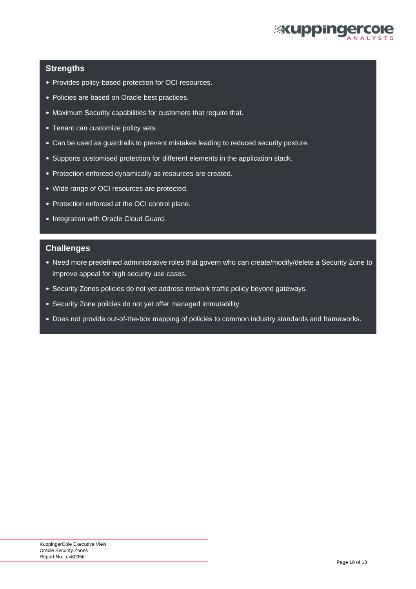

#### **Strengths**

- Provides policy-based protection for OCI resources.
- Policies are based on Oracle best practices.
- Maximum Security capabilities for customers that require that.
- Tenant can customize policy sets.
- Can be used as guardrails to prevent mistakes leading to reduced security posture.
- Supports customised protection for different elements in the application stack.
- Protection enforced dynamically as resources are created.
- Wide range of OCI resources are protected.
- Protection enforced at the OCI control plane.
- Integration with Oracle Cloud Guard.

#### **Challenges**

- Need more predefined administrative roles that govern who can create/modify/delete a Security Zone to improve appeal for high security use cases.
- Security Zones policies do not yet address network traffic policy beyond gateways.
- Security Zone policies do not yet offer managed immutability.
- Does not provide out-of-the-box mapping of policies to common industry standards and frameworks.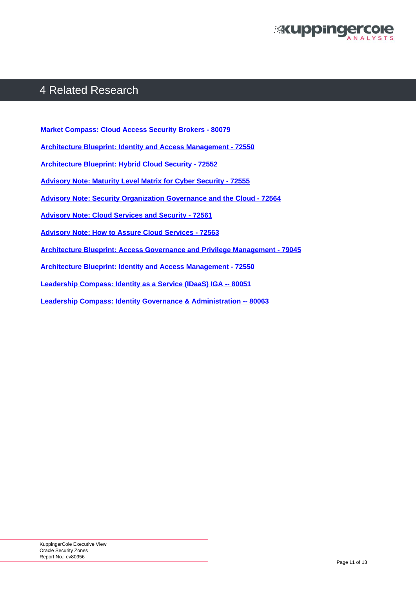

## <span id="page-10-0"></span>4 Related Research

**[Market Compass: Cloud Access Security Brokers - 80079](https://plus.kuppingercole.com/article/mc80079/cloud-access-security-brokers/)** 

- **[Architecture Blueprint: Identity and Access Management 72550](https://www.kuppingercole.com/report/ab72550)**
- **[Architecture Blueprint: Hybrid Cloud Security 72552](https://www.kuppingercole.com/report/an72552)**
- **[Advisory Note: Maturity Level Matrix for Cyber Security 72555](http://)**
- **[Advisory Note: Security Organization Governance and the Cloud 72564](https://www.kuppingercole.com/report/an72564)**
- **[Advisory Note: Cloud Services and Security 72561](http://)**
- **[Advisory Note: How to Assure Cloud Services 72563](https://www.kuppingercole.com/report/an72563)**
- **[Architecture Blueprint: Access Governance and Privilege Management 79045](https://www.kuppingercole.com/report/an79045)**
- **[Architecture Blueprint: Identity and Access Management 72550](https://www.kuppingercole.com/report/ab72550)**
- **[Leadership Compass: Identity as a Service \(IDaaS\) IGA -- 80051](https://www.kuppingercole.com/report/lc71102)**
- **[Leadership Compass: Identity Governance & Administration -- 80063](https://plus.kuppingercole.com/article/lc80063/identity-governance-administration-iga/)**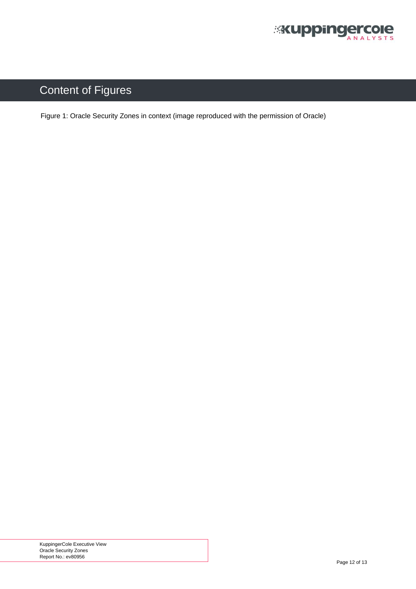

# <span id="page-11-0"></span>Content of Figures

[Figure 1: Oracle Security Zones in context \(image reproduced with the permission of Oracle\)](#page-4-0)